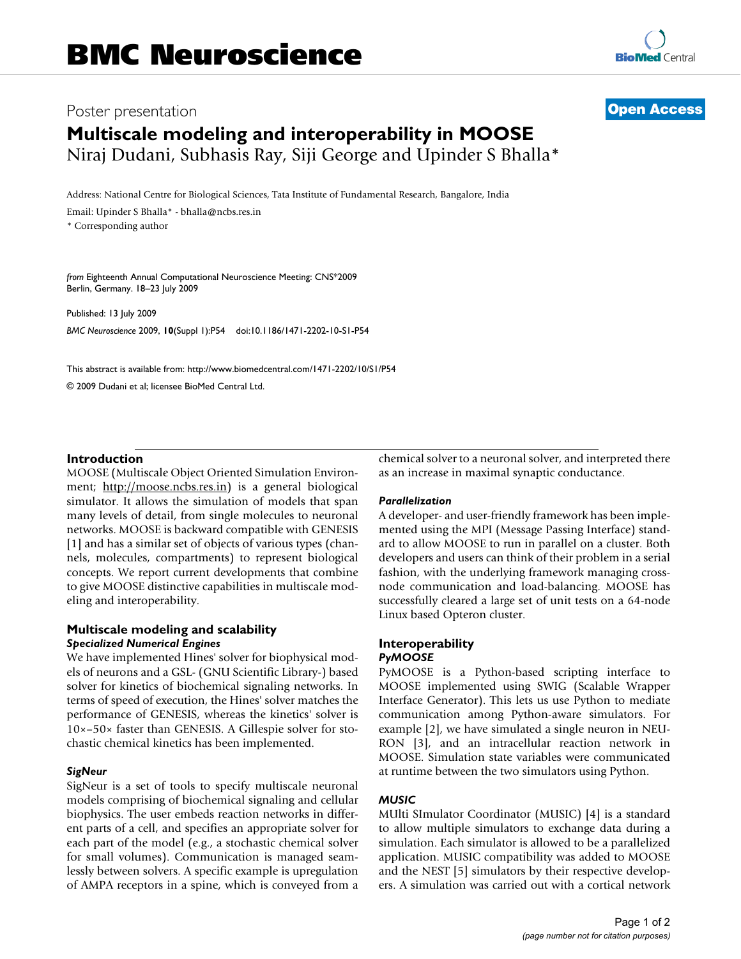## Poster presentation **Contract Contract Contract Contract Contract Contract Contract Contract Contract Contract Contract Contract Contract Contract Contract Contract Contract Contract Contract Contract Contract Contract Con**

# **Multiscale modeling and interoperability in MOOSE** Niraj Dudani, Subhasis Ray, Siji George and Upinder S Bhalla\*

Address: National Centre for Biological Sciences, Tata Institute of Fundamental Research, Bangalore, India

Email: Upinder S Bhalla\* - bhalla@ncbs.res.in

\* Corresponding author

*from* Eighteenth Annual Computational Neuroscience Meeting: CNS\*2009 Berlin, Germany. 18–23 July 2009

Published: 13 July 2009 *BMC Neuroscience* 2009, **10**(Suppl 1):P54 doi:10.1186/1471-2202-10-S1-P54

[This abstract is available from: http://www.biomedcentral.com/1471-2202/10/S1/P54](http://www.biomedcentral.com/1471-2202/10/S1/P54) © 2009 Dudani et al; licensee BioMed Central Ltd.

#### **Introduction**

MOOSE (Multiscale Object Oriented Simulation Environment; <http://moose.ncbs.res.in>) is a general biological simulator. It allows the simulation of models that span many levels of detail, from single molecules to neuronal networks. MOOSE is backward compatible with GENESIS [1] and has a similar set of objects of various types (channels, molecules, compartments) to represent biological concepts. We report current developments that combine to give MOOSE distinctive capabilities in multiscale modeling and interoperability.

#### **Multiscale modeling and scalability** *Specialized Numerical Engines*

We have implemented Hines' solver for biophysical models of neurons and a GSL- (GNU Scientific Library-) based solver for kinetics of biochemical signaling networks. In terms of speed of execution, the Hines' solver matches the performance of GENESIS, whereas the kinetics' solver is 10×–50× faster than GENESIS. A Gillespie solver for stochastic chemical kinetics has been implemented.

#### *SigNeur*

SigNeur is a set of tools to specify multiscale neuronal models comprising of biochemical signaling and cellular biophysics. The user embeds reaction networks in different parts of a cell, and specifies an appropriate solver for each part of the model (e.g., a stochastic chemical solver for small volumes). Communication is managed seamlessly between solvers. A specific example is upregulation of AMPA receptors in a spine, which is conveyed from a chemical solver to a neuronal solver, and interpreted there as an increase in maximal synaptic conductance.

#### *Parallelization*

A developer- and user-friendly framework has been implemented using the MPI (Message Passing Interface) standard to allow MOOSE to run in parallel on a cluster. Both developers and users can think of their problem in a serial fashion, with the underlying framework managing crossnode communication and load-balancing. MOOSE has successfully cleared a large set of unit tests on a 64-node Linux based Opteron cluster.

### **Interoperability** *PyMOOSE*

PyMOOSE is a Python-based scripting interface to MOOSE implemented using SWIG (Scalable Wrapper Interface Generator). This lets us use Python to mediate communication among Python-aware simulators. For example [2], we have simulated a single neuron in NEU-RON [3], and an intracellular reaction network in MOOSE. Simulation state variables were communicated at runtime between the two simulators using Python.

#### *MUSIC*

MUlti SImulator Coordinator (MUSIC) [4] is a standard to allow multiple simulators to exchange data during a simulation. Each simulator is allowed to be a parallelized application. MUSIC compatibility was added to MOOSE and the NEST [5] simulators by their respective developers. A simulation was carried out with a cortical network